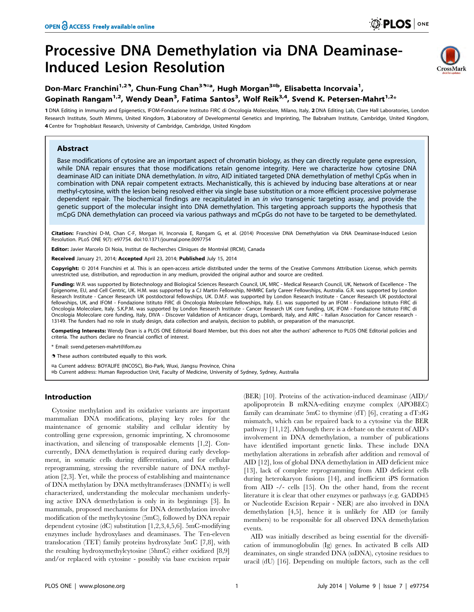# Processive DNA Demethylation via DNA Deaminase-Induced Lesion Resolution



## Don-Marc Franchini<sup>1,29</sup>, Chun-Fung Chan<sup>39¤a</sup>, Hugh Morgan<sup>3¤b</sup>, Elisabetta Incorvaia<sup>1</sup>, Gopinath Rangam<sup>1,2</sup>, Wendy Dean<sup>3</sup>, Fatima Santos<sup>3</sup>, Wolf Reik<sup>3,4</sup>, Svend K. Petersen-Mahrt<sup>1,2</sup>\*

1 DNA Editing in Immunity and Epigenetics, IFOM-Fondazione Instituto FIRC di Oncologia Molecolare, Milano, Italy, 2 DNA Editing Lab, Clare Hall Laboratories, London Research Institute, South Mimms, United Kingdom, 3 Laboratory of Developmental Genetics and Imprinting, The Babraham Institute, Cambridge, United Kingdom, 4 Centre for Trophoblast Research, University of Cambridge, Cambridge, United Kingdom

## Abstract

Base modifications of cytosine are an important aspect of chromatin biology, as they can directly regulate gene expression, while DNA repair ensures that those modifications retain genome integrity. Here we characterize how cytosine DNA deaminase AID can initiate DNA demethylation. In vitro, AID initiated targeted DNA demethylation of methyl CpGs when in combination with DNA repair competent extracts. Mechanistically, this is achieved by inducing base alterations at or near methyl-cytosine, with the lesion being resolved either via single base substitution or a more efficient processive polymerase dependent repair. The biochemical findings are recapitulated in an in vivo transgenic targeting assay, and provide the genetic support of the molecular insight into DNA demethylation. This targeting approach supports the hypothesis that mCpG DNA demethylation can proceed via various pathways and mCpGs do not have to be targeted to be demethylated.

Citation: Franchini D-M, Chan C-F, Morgan H, Incorvaia E, Rangam G, et al. (2014) Processive DNA Demethylation via DNA Deaminase-Induced Lesion Resolution. PLoS ONE 9(7): e97754. doi:10.1371/journal.pone.0097754

Editor: Javier Marcelo Di Noia, Institut de Recherches Cliniques de Montréal (IRCM), Canada

Received January 21, 2014; Accepted April 23, 2014; Published July 15, 2014

**Copyright:** © 2014 Franchini et al. This is an open-access article distributed under the terms of the [Creative Commons Attribution License,](http://creativecommons.org/licenses/by/4.0/) which permits unrestricted use, distribution, and reproduction in any medium, provided the original author and source are credited.

Funding: W.R. was supported by Biotechnology and Biological Sciences Research Council, UK, MRC - Medical Research Council, UK, Network of Excellence - The Epigenome, EU, and Cell Centric, UK. H.M. was supported by a CJ Martin Fellowship, NHMRC Early Career Fellowships, Australia. G.R. was supported by London Research Institute - Cancer Research UK postdoctoral fellowships, UK. D.M.F. was supported by London Research Institute - Cancer Research UK postdoctoral fellowships, UK, and IFOM - Fondazione Istituto FIRC di Oncologia Molecolare fellowships, Italy. E.I. was supported by an IFOM - Fondazione Istituto FIRC di Oncologia Molecolare, Italy. S.K.P.M. was supported by London Research Institute - Cancer Research UK core funding, UK, IFOM - Fondazione Istituto FIRC di Oncologia Molecolare core funding, Italy, DIVA - Discover Validation of Anticancer drugs, Lombardi, Italy, and AIRC - Italian Association for Cancer research - 13149. The funders had no role in study design, data collection and analysis, decision to publish, or preparation of the manuscript.

Competing Interests: Wendy Dean is a PLOS ONE Editorial Board Member, but this does not alter the authors' adherence to PLOS ONE Editorial policies and criteria. The authors declare no financial conflict of interest.

Email: svend.petersen-mahrt@ifom.eu

. These authors contributed equally to this work.

¤a Current address: BOYALIFE (INCOSC), Bio-Park, Wuxi, Jiangsu Province, China

¤b Current address: Human Reproduction Unit, Faculty of Medicine, University of Sydney, Sydney, Australia

## Introduction

Cytosine methylation and its oxidative variants are important mammalian DNA modifications, playing key roles for the maintenance of genomic stability and cellular identity by controlling gene expression, genomic imprinting, X chromosome inactivation, and silencing of transposable elements [1,2]. Concurrently, DNA demethylation is required during early development, in somatic cells during differentiation, and for cellular reprogramming, stressing the reversible nature of DNA methylation [2,3]. Yet, while the process of establishing and maintenance of DNA methylation by DNA methyltransferases (DNMTs) is well characterized, understanding the molecular mechanism underlying active DNA demethylation is only in its beginnings [3]. In mammals, proposed mechanisms for DNA demethylation involve modification of the methylcytosine (5mC), followed by DNA repair dependent cytosine (dC) substitution [1,2,3,4,5,6]. 5mC-modifying enzymes include hydroxylases and deaminases. The Ten-eleven translocation (TET) family proteins hydroxylate 5mC [7,8], with the resulting hydroxymethylcytosine (5hmC) either oxidized [8,9] and/or replaced with cytosine - possibly via base excision repair (BER) [10]. Proteins of the activation-induced deaminase (AID)/ apolipoprotein B mRNA-editing enzyme complex (APOBEC) family can deaminate 5mC to thymine (dT) [6], creating a dT:dG mismatch, which can be repaired back to a cytosine via the BER pathway [11,12]. Although there is a debate on the extent of AID's involvement in DNA demethylation, a number of publications have identified important genetic links. These include DNA methylation alterations in zebrafish after addition and removal of AID [12], loss of global DNA demethylation in AID deficient mice [13], lack of complete reprogramming from AID deficient cells during heterokaryon fusions [14], and inefficient iPS formation from AID -/- cells [15]. On the other hand, from the recent literature it is clear that other enzymes or pathways (e.g. GADD45 or Nucleotide Excision Repair - NER) are also involved in DNA demethylation [4,5], hence it is unlikely for AID (or family members) to be responsible for all observed DNA demethylation events.

AID was initially described as being essential for the diversification of immunoglobulin (Ig) genes. In activated B cells AID deaminates, on single stranded DNA (ssDNA), cytosine residues to uracil (dU) [16]. Depending on multiple factors, such as the cell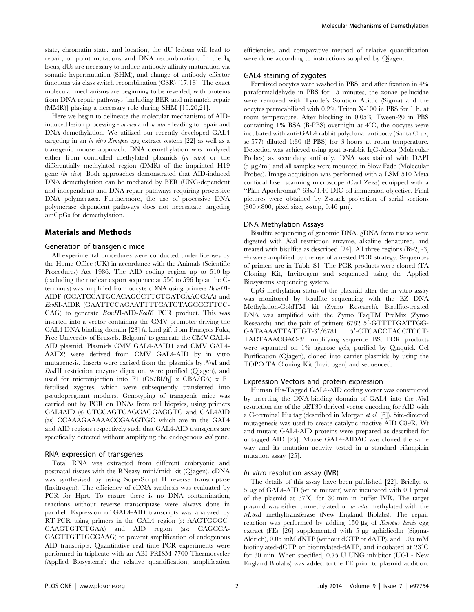state, chromatin state, and location, the dU lesions will lead to repair, or point mutations and DNA recombination. In the Ig locus, dUs are necessary to induce antibody affinity maturation via somatic hypermutation (SHM), and change of antibody effector functions via class switch recombination (CSR) [17,18]. The exact molecular mechanisms are beginning to be revealed, with proteins from DNA repair pathways [including BER and mismatch repair (MMR)] playing a necessary role during SHM [19,20,21].

Here we begin to delineate the molecular mechanisms of AIDinduced lesion processing - in vivo and in vitro - leading to repair and DNA demethylation. We utilized our recently developed GAL4 targeting in an in vitro Xenopus egg extract system [22] as well as a transgenic mouse approach. DNA demethylation was analyzed either from controlled methylated plasmids (in vitro) or the differentially methylated region (DMR) of the imprinted H19 gene (in vivo). Both approaches demonstrated that AID-induced DNA demethylation can be mediated by BER (UNG-dependent and independent) and DNA repair pathways requiring processive DNA polymerases. Furthermore, the use of processive DNA polymerase dependent pathways does not necessitate targeting 5mCpGs for demethylation.

## Materials and Methods

#### Generation of transgenic mice

All experimental procedures were conducted under licenses by the Home Office (UK) in accordance with the Animals (Scientific Procedures) Act 1986. The AID coding region up to 510 bp (excluding the nuclear export sequence at 550 to 596 bp at the Cterminus) was amplified from oocyte cDNA using primers BamHI-AIDF (GGATCCATGGACAGCCTTCTGATGAAGCAA) and EcoRI-AIDR (GAATTCCAGAATTTTCATGTAGCCCTTCC-CAG) to generate BamHI-AID-EcoRI PCR product. This was inserted into a vector containing the CMV promoter driving the GAL4 DNA binding domain [23] (a kind gift from François Fuks, Free University of Brussels, Belgium) to generate the CMV GAL4- AID plasmid. Plasmids CMV GAL4- $\Delta$ AID1 and CMV GAL4- $\Delta AID2$  were derived from CMV GAL4-AID by in vitro mutagenesis. Inserts were excised from the plasmids by NruI and DraIII restriction enzyme digestion, were purified (Qiagen), and used for microinjection into F1 (C57Bl/6J x CBA/CA) x F1 fertilised zygotes, which were subsequently transferred into pseudopregnant mothers. Genotyping of transgenic mice was carried out by PCR on DNAs from tail biopsies, using primers GAL4AID (s) GTCCAGTGAGCAGGAGGTG and GAL4AID (as) CCAAAGAAAAACCGAAGTGC which are in the GAL4 and AID regions respectively such that GAL4-AID transgenes are specifically detected without amplifying the endogenous aid gene.

## RNA expression of transgenes

Total RNA was extracted from different embryonic and postnatal tissues with the RNeasy mini/midi kit (Qiagen). cDNA was synthesised by using SuperScript II reverse transcriptase (Invitrogen). The efficiency of cDNA synthesis was evaluated by PCR for Hprt. To ensure there is no DNA contamination, reactions without reverse transcriptase were always done in parallel. Expression of GAL4-AID transcripts was analyzed by RT-PCR using primers in the GAL4 region (s: AAGTGCGC-CAAGTGTCTGAA) and AID region (as: CAGCCA-GACTTGTTGCGAAG) to prevent amplification of endogenous AID transcripts. Quantitative real time PCR experiments were performed in triplicate with an ABI PRISM 7700 Thermocycler (Applied Biosystems); the relative quantification, amplification efficiencies, and comparative method of relative quantification were done according to instructions supplied by Qiagen.

## GAL4 staining of zygotes

Fertilized oocytes were washed in PBS, and after fixation in 4% paraformaldehyde in PBS for 15 minutes, the zonae pellucidae were removed with Tyrode's Solution Acidic (Sigma) and the oocytes permeabilised with 0.2% Triton X-100 in PBS for 1 h, at room temperature. After blocking in 0.05% Tween-20 in PBS containing 1% BSA (B-PBS) overnight at  $4^{\circ}$ C, the oocytes were incubated with anti-GAL4 rabbit polyclonal antibody (Santa Cruz, sc-577) diluted 1:30 (B-PBS) for 3 hours at room temperature. Detection was achieved using goat a-rabbit IgG-Alexa (Molecular Probes) as secondary antibody. DNA was stained with DAPI  $(5 \mu g/ml)$  and all samples were mounted in Slow Fade (Molecular Probes). Image acquisition was performed with a LSM 510 Meta confocal laser scanning microscope (Carl Zeiss) equipped with a ''Plan-Apochromat'' 63x/1.40 DIC oil-immersion objective. Final pictures were obtained by Z-stack projection of serial sections  $(800\times800, \text{pixel size}; \text{z-step}, 0.46 \text{ µm}).$ 

## DNA Methylation Assays

Bisulfite sequencing of genomic DNA. gDNA from tissues were digested with NcoI restriction enzyme, alkaline denatured, and treated with bisulfite as described [24]. All three regions (Bi-2, -3, -4) were amplified by the use of a nested PCR strategy. Sequences of primers are in Table S1. The PCR products were cloned (TA Cloning Kit, Invitrogen) and sequenced using the Applied Biosystems sequencing system.

CpG methylation status of the plasmid after the in vitro assay was monitored by bisulfite sequencing with the EZ DNA Methylation-GoldTM kit (Zymo Research). Bisulfite-treated DNA was amplified with the Zymo TaqTM PreMix (Zymo Research) and the pair of primers 6782 5'-GTTTTGATTGG-GATAAAATTATTGT-3'/6781 5'-CTCACCTACCTCCT-TACTAAACGAC-3' amplifying sequence BS. PCR products were separated on 1% agarose gels, purified by Qiaquick Gel Purification (Qiagen), cloned into carrier plasmids by using the TOPO TA Cloning Kit (Invitrogen) and sequenced.

## Expression Vectors and protein expression

Human His-Tagged GAL4-AID coding vector was constructed by inserting the DNA-binding domain of GAL4 into the NcoI restriction site of the pET30 derived vector encoding for AID with a C-terminal His tag (described in Morgan et al. [6]). Site-directed mutagenesis was used to create catalytic inactive AID C89R. Wt and mutant GAL4-AID proteins were prepared as described for untagged AID [25]. Mouse GAL4-AID $\Delta$ C was cloned the same way and its mutation activity tested in a standard rifampicin mutation assay [25].

## In vitro resolution assay (IVR)

The details of this assay have been published [22]. Briefly: o. 5 µg of GAL4-AID (wt or mutant) were incubated with 0.1 pmol of the plasmid at  $37^{\circ}$ C for 30 min in buffer IVR. The target plasmid was either unmethylated or in vitro methylated with the M.SssI methyltransferase (New England Biolabs). The repair reaction was performed by adding  $150 \mu g$  of *Xenopus laevis* egg extract (FE)  $[26]$  supplemented with 5  $\mu$ g aphidicolin (Sigma-Aldrich), 0.05 mM dNTP (without dCTP or dATP), and 0.05 mM biotinylated-dCTP or biotinylated-dATP, and incubated at  $23^{\circ}$ C for 30 min. When specified, 0.75 U UNG inhibitor (UGI - New England Biolabs) was added to the FE prior to plasmid addition.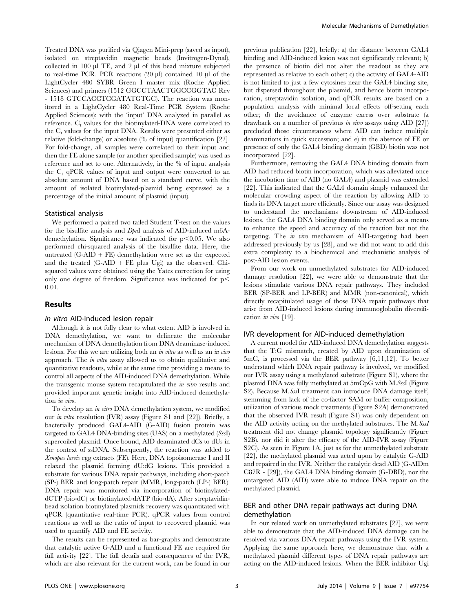Treated DNA was purified via Qiagen Mini-prep (saved as input), isolated on streptavidin magnetic beads (Invitrogen-Dynal), collected in  $100 \mu$ l TE, and  $2 \mu$ l of this bead mixture subjected to real-time PCR. PCR reactions  $(20 \mu l)$  contained 10  $\mu l$  of the LightCycler 480 SYBR Green I master mix (Roche Applied Sciences) and primers (1512 GGCCTAACTGGCCGGTAC Rev - 1518 GTCCACCTCGATATGTGC). The reaction was monitored in a LightCycler 480 Real-Time PCR System (Roche Applied Sciences); with the 'input' DNA analyzed in parallel as reference.  $C_t$  values for the biotinylated-DNA were correlated to the  $C_t$  values for the input DNA. Results were presented either as relative (fold-change) or absolute (% of input) quantification [22]. For fold-change, all samples were correlated to their input and then the FE alone sample (or another specified sample) was used as reference and set to one. Alternatively, in the % of input analysis the  $C_t$  qPCR values of input and output were converted to an absolute amount of DNA based on a standard curve, with the amount of isolated biotinylated-plasmid being expressed as a percentage of the initial amount of plasmid (input).

## Statistical analysis

We performed a paired two tailed Student T-test on the values for the bisulfite analysis and DpnI analysis of AID-induced m6Ademethylation. Significance was indicated for  $p<0.05$ . We also performed chi-squared analysis of the bisulfite data. Here, the untreated  $(G-AID + FE)$  demethylation were set as the expected and the treated  $(G-AID + FE$  plus Ugi) as the observed. Chisquared values were obtained using the Yates correction for using only one degree of freedom. Significance was indicated for  $p<$ 0.01.

## Results

## In vitro AID-induced lesion repair

Although it is not fully clear to what extent AID is involved in DNA demethylation, we want to delineate the molecular mechanism of DNA demethylation from DNA deaminase-induced lesions. For this we are utilizing both an in vitro as well as an in vivo approach. The in vitro assay allowed us to obtain qualitative and quantitative readouts, while at the same time providing a means to control all aspects of the AID-induced DNA demethylation. While the transgenic mouse system recapitulated the in vitro results and provided important genetic insight into AID-induced demethylation in vivo.

To develop an in vitro DNA demethylation system, we modified our in vitro resolution (IVR) assay (Figure S1 and [22]). Briefly, a bacterially produced GAL4-AID (G-AID) fusion protein was targeted to GAL4 DNA-binding sites (UAS) on a methylated (SssI) supercoiled plasmid. Once bound, AID deaminated dCs to dUs in the context of ssDNA. Subsequently, the reaction was added to Xenopus laevis egg extracts (FE). Here, DNA topoisomerase I and II relaxed the plasmid forming dU:dG lesions. This provided a substrate for various DNA repair pathways, including short-patch (SP-) BER and long-patch repair (MMR, long-patch (LP-) BER). DNA repair was monitored via incorporation of biotinylateddCTP (bio-dC) or biotinylated-dATP (bio-dA). After streptavidinbead isolation biotinylated plasmids recovery was quantitated with qPCR (quantitative real-time PCR). qPCR values from control reactions as well as the ratio of input to recovered plasmid was used to quantify AID and FE activity.

The results can be represented as bar-graphs and demonstrate that catalytic active G-AID and a functional FE are required for full activity [22]. The full details and consequences of the IVR, which are also relevant for the current work, can be found in our

previous publication [22], briefly: a) the distance between GAL4 binding and AID-induced lesion was not significantly relevant; b) the presence of biotin did not alter the readout as they are represented as relative to each other; c) the activity of GAL4-AID is not limited to just a few cytosines near the GAL4 binding site, but dispersed throughout the plasmid, and hence biotin incorporation, streptavidin isolation, and qPCR results are based on a population analysis with minimal local effects off-setting each other; d) the avoidance of enzyme excess over substrate (a drawback on a number of previous *in vitro* assays using AID [27]) precluded those circumstances where AID can induce multiple deaminations in quick succession; and e) in the absence of FE or presence of only the GAL4 binding domain (GBD) biotin was not incorporated [22].

Furthermore, removing the GAL4 DNA binding domain from AID had reduced biotin incorporation, which was alleviated once the incubation time of AID (no GAL4) and plasmid was extended [22]. This indicated that the GAL4 domain simply enhanced the molecular crowding aspect of the reaction by allowing AID to finds its DNA target more efficiently. Since our assay was designed to understand the mechanisms downstream of AID-induced lesions, the GAL4 DNA binding domain only served as a means to enhance the speed and accuracy of the reaction but not the targeting. The in vivo mechanism of AID-targeting had been addressed previously by us [28], and we did not want to add this extra complexity to a biochemical and mechanistic analysis of post-AID lesion events.

From our work on unmethylated substrates for AID-induced damage resolution [22], we were able to demonstrate that the lesions stimulate various DNA repair pathways. They included BER (SP-BER and LP-BER) and MMR (non-canonical), which directly recapitulated usage of those DNA repair pathways that arise from AID-induced lesions during immunoglobulin diversification in vivo [19].

## IVR development for AID-induced demethylation

A current model for AID-induced DNA demethylation suggests that the T:G mismatch, created by AID upon deamination of 5mC, is processed via the BER pathway [6,11,12]. To better understand which DNA repair pathway is involved, we modified our IVR assay using a methylated substrate (Figure S1), where the plasmid DNA was fully methylated at 5mCpG with M.SssI (Figure S2). Because M.SssI treatment can introduce DNA damage itself, stemming from lack of the co-factor SAM or buffer composition, utilization of various mock treatments (Figure S2A) demonstrated that the observed IVR result (Figure S1) was only dependent on the AID activity acting on the methylated substrates. The M.SssI treatment did not change plasmid topology significantly (Figure S2B), nor did it alter the efficacy of the AID-IVR assay (Figure S2C). As seen in Figure 1A, just as for the unmethylated substrate [22], the methylated plasmid was acted upon by catalytic G-AID and repaired in the IVR. Neither the catalytic dead AID (G-AIDm C87R - [29]), the GAL4 DNA binding domain (G-DBD), nor the untargeted AID (AID) were able to induce DNA repair on the methylated plasmid.

## BER and other DNA repair pathways act during DNA demethylation

In our related work on unmethylated substrates [22], we were able to demonstrate that the AID-induced DNA damage can be resolved via various DNA repair pathways using the IVR system. Applying the same approach here, we demonstrate that with a methylated plasmid different types of DNA repair pathways are acting on the AID-induced lesions. When the BER inhibitor Ugi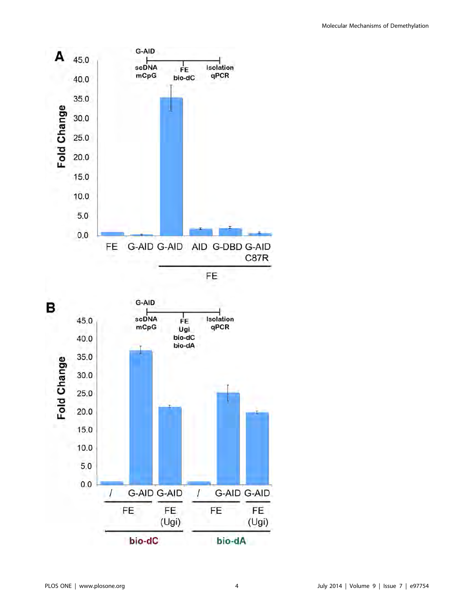



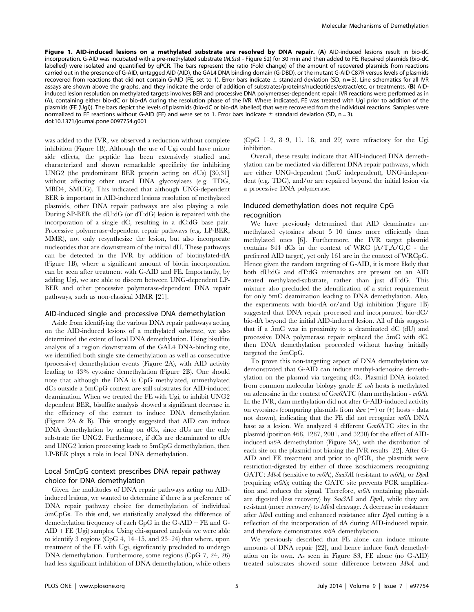Figure 1. AID-induced lesions on a methylated substrate are resolved by DNA repair. (A) AID-induced lesions result in bio-dC incorporation. G-AID was incubated with a pre-methylated substrate (M.SssI - Figure S2) for 30 min and then added to FE. Repaired plasmids (bio-dC labelled) were isolated and quantified by qPCR. The bars represent the ratio (Fold change) of the amount of recovered plasmids from reactions carried out in the presence of G-AID, untagged AID (AID), the GAL4 DNA binding domain (G-DBD), or the mutant G-AID C87R versus levels of plasmids recovered from reactions that did not contain G-AID (FE, set to 1). Error bars indicate  $\pm$  standard deviation (SD, n = 3). Line schematics for all IVR assays are shown above the graphs, and they indicate the order of addition of substrates/proteins/nucleotides/extract/etc. or treatments. (B) AIDinduced lesion resolution on methylated targets involves BER and processive DNA polymerases-dependent repair. IVR reactions were performed as in (A), containing either bio-dC or bio-dA during the resolution phase of the IVR. Where indicated, FE was treated with Ugi prior to addition of the plasmids (FE (Ugi)). The bars depict the levels of plasmids (bio-dC or bio-dA labelled) that were recovered from the individual reactions. Samples were normalized to FE reactions without G-AID (FE) and were set to 1. Error bars indicate  $\pm$  standard deviation (SD, n = 3). doi:10.1371/journal.pone.0097754.g001

was added to the IVR, we observed a reduction without complete inhibition (Figure 1B). Although the use of Ugi could have minor side effects, the peptide has been extensively studied and characterized and shown remarkable specificity for inhibiting UNG2 (the predominant BER protein acting on dUs) [30,31] without affecting other uracil DNA glycosylases (e.g. TDG, MBD4, SMUG). This indicated that although UNG-dependent BER is important in AID-induced lesions resolution of methylated plasmids, other DNA repair pathways are also playing a role. During SP-BER the dU:dG (or dT:dG) lesion is repaired with the incorporation of a single dC, resulting in a dC:dG base pair. Processive polymerase-dependent repair pathways (e.g. LP-BER, MMR), not only resynthesize the lesion, but also incorporate nucleotides that are downstream of the initial dU. These pathways can be detected in the IVR by addition of biotinylated-dA (Figure 1B), where a significant amount of biotin incorporation can be seen after treatment with G-AID and FE. Importantly, by adding Ugi, we are able to discern between UNG-dependent LP-BER and other processive polymerase-dependent DNA repair pathways, such as non-classical MMR [21].

#### AID-induced single and processive DNA demethylation

Aside from identifying the various DNA repair pathways acting on the AID-induced lesions of a methylated substrate, we also determined the extent of local DNA demethylation. Using bisulfite analysis of a region downstream of the GAL4 DNA-binding site, we identified both single site demethylation as well as consecutive (processive) demethylation events (Figure 2A), with AID activity leading to 43% cytosine demethylation (Figure 2B). One should note that although the DNA is CpG methylated, unmethylated dCs outside a 5mCpG context are still substrates for AID-induced deamination. When we treated the FE with Ugi, to inhibit UNG2 dependent BER, bisulfite analysis showed a significant decrease in the efficiency of the extract to induce DNA demethylation (Figure 2A & B). This strongly suggested that AID can induce DNA demethylation by acting on dCs, since dUs are the only substrate for UNG2. Furthermore, if dCs are deaminated to dUs and UNG2 lesion processing leads to 5mCpG demethylation, then LP-BER plays a role in local DNA demethylation.

## Local 5mCpG context prescribes DNA repair pathway choice for DNA demethylation

Given the multitudes of DNA repair pathways acting on AIDinduced lesions, we wanted to determine if there is a preference of DNA repair pathway choice for demethylation of individual 5mCpGs. To this end, we statistically analyzed the difference of demethylation frequency of each CpG in the G-AID + FE and G-AID + FE (Ugi) samples. Using chi-squared analysis we were able to identify 3 regions (CpG 4, 14–15, and 23–24) that where, upon treatment of the FE with Ugi, significantly precluded to undergo DNA demethylation. Furthermore, some regions (CpG 7, 24, 26) had less significant inhibition of DNA demethylation, while others

(CpG 1–2, 8–9, 11, 18, and 29) were refractory for the Ugi inhibition.

Overall, these results indicate that AID-induced DNA demethylation can be mediated via different DNA repair pathways, which are either UNG-dependent (5mC independent), UNG-independent (e.g. TDG), and/or are repaired beyond the initial lesion via a processive DNA polymerase.

## Induced demethylation does not require CpG recognition

We have previously determined that AID deaminates unmethylated cytosines about 5–10 times more efficiently than methylated ones [6]. Furthermore, the IVR target plasmid contains 844 dCs in the context of WRC (A/T,A/G,C - the preferred AID target), yet only 161 are in the context of WRCpG. Hence given the random targeting of G-AID, it is more likely that both dU:dG and dT:dG mismatches are present on an AID treated methylated-substrate, rather than just dT:dG. This mixture also precluded the identification of a strict requirement for only 5mC deamination leading to DNA demethylation. Also, the experiments with bio-dA or/and Ugi inhibition (Figure 1B) suggested that DNA repair processed and incorporated bio-dC/ bio-dA beyond the initial AID-induced lesion. All of this suggests that if a 5mC was in proximity to a deaminated dC (dU) and processive DNA polymerase repair replaced the 5mC with dC, then DNA demethylation proceeded without having initially targeted the 5mCpG.

To prove this non-targeting aspect of DNA demethylation we demonstrated that G-AID can induce methyl-adenosine demethylation on the plasmid via targeting dCs. Plasmid DNA isolated from common molecular biology grade E. coli hosts is methylated on adenosine in the context of  $Gm6ATC$  (dam methylation -  $m6A$ ). In the IVR, dam methylation did not alter G-AID-induced activity on cytosines (comparing plasmids from  $dam$   $(-)$  or  $(+)$  hosts - data not shown), indicating that the FE did not recognize m6A DNA base as a lesion. We analyzed 4 different Gm6ATC sites in the plasmid (position 468, 1287, 2001, and 3230) for the effect of AIDinduced m6A demethylation (Figure 3A), with the distribution of each site on the plasmid not biasing the IVR results [22]. After G-AID and FE treatment and prior to qPCR, the plasmids were restriction-digested by either of three isoschizomers recognizing GATC: MboI (sensitive to m6A), Sau3AI (resistant to m6A), or  $DpnI$ (requiring m6A); cutting the GATC site prevents PCR amplification and reduces the signal. Therefore,  $m6A$  containing plasmids are digested (less recovery) by Sau3AI and DpnI, while they are resistant (more recovery) to MboI cleavage. A decrease in resistance after MboI cutting and enhanced resistance after DpnI cutting is a reflection of the incorporation of dA during AID-induced repair, and therefore demonstrates m6A demethylation.

We previously described that FE alone can induce minute amounts of DNA repair [22], and hence induce 6mA demethylation on its own. As seen in Figure S3, FE alone (no G-AID) treated substrates showed some difference between MboI and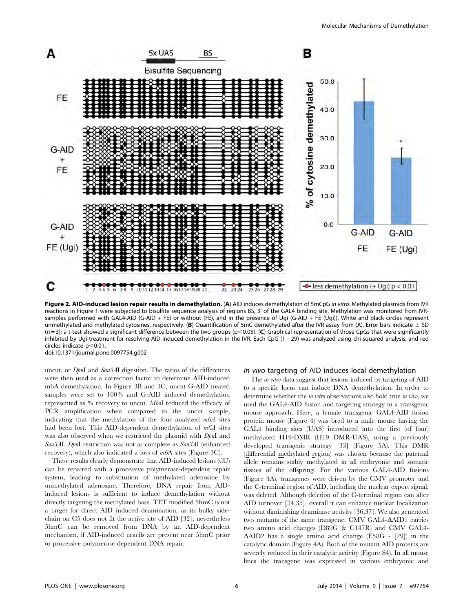

Figure 2. AID-induced lesion repair results in demethylation. (A) AID induces demethylation of 5mCpG in vitro. Methylated plasmids from IVR reactions in Figure 1 were subjected to bisulfite sequence analysis of regions BS, 3' of the GAL4 binding site. Methylation was monitored from IVRsamples performed with GAL4-AID (G-AID + FE) or without (FE), and in the presence of Ugi (G-AID + FE (Ugi)). White and black circles represent unmethylated and methylated cytosines, respectively. (B) Quantification of 5mC demethylated after the IVR assay from (A). Error bars indicate  $\pm$  SD  $(n=3)$ ; a t-test showed a significant difference between the two groups (p<0.05). (C) Graphical representation of those CpGs that were significantly inhibited by Ugi treatment for resolving AID-induced demethylation in the IVR. Each CpG (1 - 29) was analyzed using chi-squared analysis, and red  $circles$  indicate  $p<0.01$ . doi:10.1371/journal.pone.0097754.g002

uncut, or *DpnI* and *Sau3AI* digestion. The ratios of the differences were then used as a correction factor to determine AID-induced m6A demethylation. In Figure 3B and 3C, uncut G-AID treated samples were set to 100% and G-AID induced demethylation represented as % recovery to uncut. MboI reduced the efficacy of PCR amplification when compared to the uncut sample, indicating that the methylation of the four analyzed  $m6A$  sites had been lost. This AID-dependent demethylation of m6A sites was also observed when we restricted the plasmid with  $DpnI$  and Sau3AI. DpnI restriction was not as complete as Sau3AI (enhanced recovery), which also indicated a loss of m6A sites (Figure 3C).

These results clearly demonstrate that AID-induced lesions (dU) can be repaired with a processive polymerase-dependent repair system, leading to substitution of methylated adenosine by unmethylated adenosine. Therefore, DNA repair from AIDinduced lesions is sufficient to induce demethylation without directly targeting the methylated base. TET modified 5hmC is not a target for direct AID induced deamination, as its bulky sidechain on C5 does not fit the active site of AID [32], nevertheless 5hmC can be removed from DNA by an AID-dependent mechanism, if AID-induced uracils are present near 5hmC prior to processive polymerase dependent DNA repair.

## In vivo targeting of AID induces local demethylation

The *in vitro* data suggest that lesions induced by targeting of AID to a specific locus can induce DNA demethylation. In order to determine whether the *in vitro* observations also hold true *in vivo*, we used the GAL4-AID fusion and targeting strategy in a transgenic mouse approach. Here, a female transgenic GAL4-AID fusion protein mouse (Figure 4) was bred to a male mouse having the GAL4 binding sites (UAS) introduced into the first (of four) methylated H19-DMR (H19 DMR-UAS), using a previously developed transgenic strategy [33] (Figure 5A). This DMR (differential methylated region) was chosen because the paternal allele remains stably methylated in all embryonic and somatic tissues of the offspring. For the various GAL4-AID fusions (Figure 4A), transgenes were driven by the CMV promoter and the C-terminal region of AID, including the nuclear export signal, was deleted. Although deletion of the C-terminal region can alter AID turnover [34,35], overall it can enhance nuclear localization without diminishing deaminase activity [36,37]. We also generated two mutants of the same transgene: CMV GAL4- $\Delta$ AID1 carries two amino acid changes (D89G & C147R) and CMV GAL4-  $\Delta AID2$  has a single amino acid change (E58G - [29]) in the catalytic domain (Figure 4A). Both of the mutant AID proteins are severely reduced in their catalytic activity (Figure S4). In all mouse lines the transgene was expressed in various embryonic and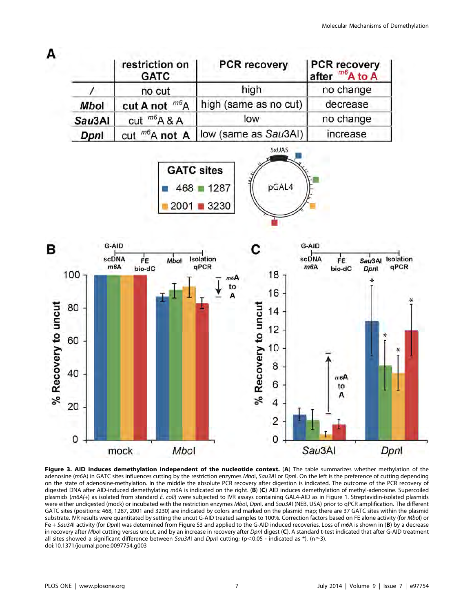|             | restriction on<br><b>GATC</b> | <b>PCR recovery</b>   | <b>PCR</b> recovery<br>after $^{m6}$ A to A |
|-------------|-------------------------------|-----------------------|---------------------------------------------|
|             | no cut                        | high                  | no change                                   |
| <b>Mbol</b> | cut A not $^{m6}$ A           | high (same as no cut) | decrease                                    |
| Sau3Al      | cut $^{m6}A$ & A              | low                   | no change                                   |
| Dpnl        | cut m <sup>6</sup> A not A    | low (same as Sau3Al)  | increase                                    |

5xUAS

pGAL4





Figure 3. AID induces demethylation independent of the nucleotide context. (A) The table summarizes whether methylation of the adenosine (m6A) in GATC sites influences cutting by the restriction enzymes Mbol, Sau3AI or DpnI. On the left is the preference of cutting depending on the state of adenosine-methylation. In the middle the absolute PCR recovery after digestion is indicated. The outcome of the PCR recovery of digested DNA after AID-induced demethylating m6A is indicated on the right. (B) (C) AID induces demethylation of methyl-adenosine. Supercoiled plasmids (m6A(+) as isolated from standard E. coli) were subjected to IVR assays containing GAL4-AID as in Figure 1. Streptavidin-isolated plasmids were either undigested (mock) or incubated with the restriction enzymes Mbol, DpnI, and Sau3AI (NEB, USA) prior to qPCR amplification. The different GATC sites (positions: 468, 1287, 2001 and 3230) are indicated by colors and marked on the plasmid map; there are 37 GATC sites within the plasmid substrate. IVR results were quantitated by setting the uncut G-AID treated samples to 100%. Correction factors based on FE alone activity (for Mbol) or Fe + Sau3AI activity (for DpnI) was determined from Figure S3 and applied to the G-AID induced recoveries. Loss of m6A is shown in (B) by a decrease in recovery after Mbol cutting versus uncut, and by an increase in recovery after DpnI digest (C). A standard t-test indicated that after G-AID treatment all sites showed a significant difference between Sau3AI and DpnI cutting; (p<0.05 - indicated as \*), (n ≥3). doi:10.1371/journal.pone.0097754.g003

A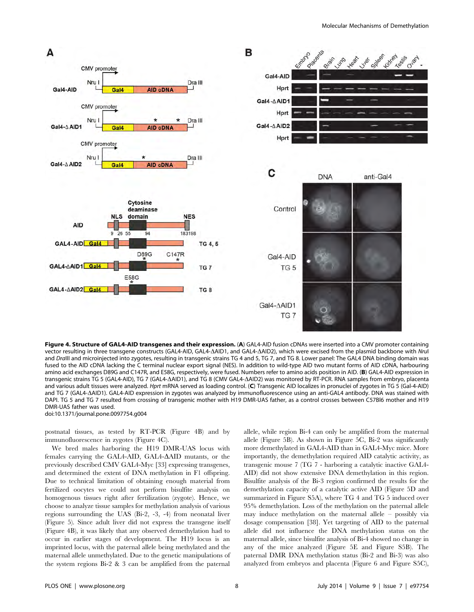

Figure 4. Structure of GAL4-AID transgenes and their expression. (A) GAL4-AID fusion cDNAs were inserted into a CMV promoter containing vector resulting in three transgene constructs (GAL4-AID, GAL4-DAID1, and GAL4-DAID2), which were excised from the plasmid backbone with NruI and Dralll and microinjected into zygotes, resulting in transgenic strains TG 4 and 5, TG 7, and TG 8. Lower panel: The GAL4 DNA binding domain was fused to the AID cDNA lacking the C terminal nuclear export signal (NES). In addition to wild-type AID two mutant forms of AID cDNA, harbouring amino acid exchanges D89G and C147R, and E58G, respectively, were fused. Numbers refer to amino acids position in AID. (B) GAL4-AID expression in transgenic strains TG 5 (GAL4-AID), TG 7 (GAL4- $\Delta$ AID1), and TG 8 (CMV GAL4- $\Delta$ AID2) was monitored by RT-PCR. RNA samples from embryo, placenta and various adult tissues were analyzed. Hprt mRNA served as loading control. (C) Transgenic AID localizes in pronuclei of zygotes in TG 5 (Gal-4-AID) and TG 7 (GAL4- $\Delta$ AID1). GAL4-AID expression in zygotes was analyzed by immunofluorescence using an anti-GAL4 antibody. DNA was stained with DAPI. TG 5 and TG 7 resulted from crossing of transgenic mother with H19 DMR-UAS father, as a control crosses between C57Bl6 mother and H19 DMR-UAS father was used.

doi:10.1371/journal.pone.0097754.g004

postnatal tissues, as tested by RT-PCR (Figure 4B) and by immunofluorescence in zygotes (Figure 4C).

We bred males harboring the H19 DMR-UAS locus with females carrying the GAL4-AID, GAL4- $\Delta$ AID mutants, or the previously described CMV GAL4-Myc [33] expressing transgenes, and determined the extent of DNA methylation in F1 offspring. Due to technical limitation of obtaining enough material from fertilized oocytes we could not perform bisulfite analysis on homogenous tissues right after fertilization (zygote). Hence, we choose to analyze tissue samples for methylation analysis of various regions surrounding the UAS (Bi-2, -3, -4) from neonatal liver (Figure 5). Since adult liver did not express the transgene itself (Figure 4B), it was likely that any observed demethylation had to occur in earlier stages of development. The H19 locus is an imprinted locus, with the paternal allele being methylated and the maternal allele unmethylated. Due to the genetic manipulations of the system regions Bi-2 & 3 can be amplified from the paternal

allele, while region Bi-4 can only be amplified from the maternal allele (Figure 5B). As shown in Figure 5C, Bi-2 was significantly more demethylated in GAL4-AID than in GAL4-Myc mice. More importantly, the demethylation required AID catalytic activity, as transgenic mouse 7 (TG 7 - harboring a catalytic inactive GAL4- AID) did not show extensive DNA demethylation in this region. Bisulfite analysis of the Bi-3 region confirmed the results for the demethylation capacity of a catalytic active AID (Figure 5D and summarized in Figure S5A), where TG 4 and TG 5 induced over 95% demethylation. Loss of the methylation on the paternal allele may induce methylation on the maternal allele – possibly via dosage compensation [38]. Yet targeting of AID to the paternal allele did not influence the DNA methylation status on the maternal allele, since bisulfite analysis of Bi-4 showed no change in any of the mice analyzed (Figure 5E and Figure S5B). The paternal DMR DNA methylation status (Bi-2 and Bi-3) was also analyzed from embryos and placenta (Figure 6 and Figure S5C),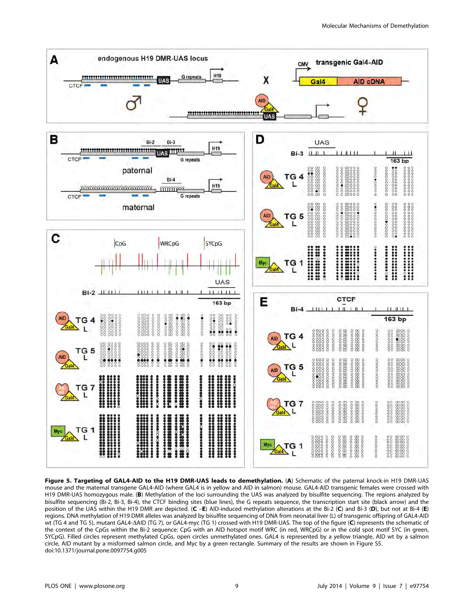

Figure 5. Targeting of GAL4-AID to the H19 DMR-UAS leads to demethylation. (A) Schematic of the paternal knock-in H19 DMR-UAS mouse and the maternal transgene GAL4-AID (where GAL4 is in yellow and AID in salmon) mouse. GAL4-AID transgenic females were crossed with H19 DMR-UAS homozygous male. (B) Methylation of the loci surrounding the UAS was analyzed by bisulfite sequencing. The regions analyzed by bisulfite sequencing (Bi-2, Bi-3, Bi-4), the CTCF binding sites (blue lines), the G repeats sequence, the transcription start site (black arrow) and the position of the UAS within the H19 DMR are depicted. (C -E) AID-induced methylation alterations at the Bi-2 (C) and Bi-3 (D), but not at Bi-4 (E) regions. DNA methylation of H19 DMR alleles was analyzed by bisulfite sequencing of DNA from neonatal liver (L) of transgenic offspring of GAL4-AID wt (TG 4 and TG 5), mutant GAL4- $\Delta$ AID (TG 7), or GAL4-myc (TG 1) crossed with H19 DMR-UAS. The top of the figure (C) represents the schematic of the context of the CpGs within the Bi-2 sequence: CpG with an AID hotspot motif WRC (in red, WRCpG) or in the cold spot motif SYC (in green, SYCpG). Filled circles represent methylated CpGs, open circles unmethylated ones. GAL4 is represented by a yellow triangle, AID wt by a salmon circle, AID mutant by a misformed salmon circle, and Myc by a green rectangle. Summary of the results are shown in Figure S5. doi:10.1371/journal.pone.0097754.g005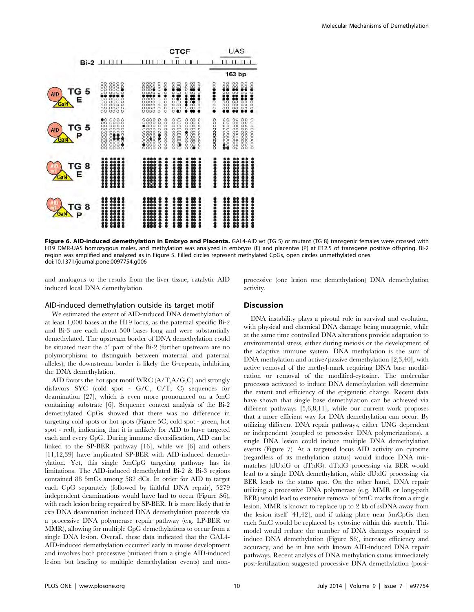

Figure 6. AID-induced demethylation in Embryo and Placenta. GAL4-AID wt (TG 5) or mutant (TG 8) transgenic females were crossed with H19 DMR-UAS homozygous males, and methylation was analyzed in embryos (E) and placentas (P) at E12.5 of transgene positive offspring. Bi-2 region was amplified and analyzed as in Figure 5. Filled circles represent methylated CpGs, open circles unmethylated ones. doi:10.1371/journal.pone.0097754.g006

and analogous to the results from the liver tissue, catalytic AID induced local DNA demethylation.

processive (one lesion one demethylation) DNA demethylation activity.

## AID-induced demethylation outside its target motif

We estimated the extent of AID-induced DNA demethylation of at least 1,000 bases at the H19 locus, as the paternal specific Bi-2 and Bi-3 are each about 500 bases long and were substantially demethylated. The upstream border of DNA demethylation could be situated near the 5' part of the Bi-2 (further upstream are no polymorphisms to distinguish between maternal and paternal alleles); the downstream border is likely the G-repeats, inhibiting the DNA demethylation.

AID favors the hot spot motif WRC (A/T,A/G,C) and strongly disfavors SYC (cold spot - G/C, C/T, C) sequences for deamination [27], which is even more pronounced on a 5mC containing substrate [6]. Sequence context analysis of the Bi-2 demethylated CpGs showed that there was no difference in targeting cold spots or hot spots (Figure 5C; cold spot - green, hot spot - red), indicating that it is unlikely for AID to have targeted each and every CpG. During immune diversification, AID can be linked to the SP-BER pathway [16], while we [6] and others [11,12,39] have implicated SP-BER with AID-induced demethylation. Yet, this single 5mCpG targeting pathway has its limitations. The AID-induced demethylated Bi-2 & Bi-3 regions contained 88 5mCs among 582 dCs. In order for AID to target each CpG separately (followed by faithful DNA repair), 5279 independent deaminations would have had to occur (Figure S6), with each lesion being repaired by SP-BER. It is more likely that in vivo DNA deamination induced DNA demethylation proceeds via a processive DNA polymerase repair pathway (e.g. LP-BER or MMR), allowing for multiple CpG demethylations to occur from a single DNA lesion. Overall, these data indicated that the GAL4- AID-induced demethylation occurred early in mouse development and involves both processive (initiated from a single AID-induced lesion but leading to multiple demethylation events) and non-

## **Discussion**

DNA instability plays a pivotal role in survival and evolution, with physical and chemical DNA damage being mutagenic, while at the same time controlled DNA alterations provide adaptation to environmental stress, either during meiosis or the development of the adaptive immune system. DNA methylation is the sum of DNA methylation and active/passive demethylation [2,3,40], with active removal of the methyl-mark requiring DNA base modification or removal of the modified-cytosine. The molecular processes activated to induce DNA demethylation will determine the extent and efficiency of the epigenetic change. Recent data have shown that single base demethylation can be achieved via different pathways [5,6,8,11], while our current work proposes that a more efficient way for DNA demethylation can occur. By utilizing different DNA repair pathways, either UNG dependent or independent (coupled to processive DNA polymerizations), a single DNA lesion could induce multiple DNA demethylation events (Figure 7). At a targeted locus AID activity on cytosine (regardless of its methylation status) would induce DNA mismatches (dU:dG or dT:dG). dT:dG processing via BER would lead to a single DNA demethylation, while dU:dG processing via BER leads to the status quo. On the other hand, DNA repair utilizing a processive DNA polymerase (e.g. MMR or long-path BER) would lead to extensive removal of 5mC marks from a single lesion. MMR is known to replace up to 2 kb of ssDNA away from the lesion itself [41,42], and if taking place near 5mCpGs then each 5mC would be replaced by cytosine within this stretch. This model would reduce the number of DNA damages required to induce DNA demethylation (Figure S6), increase efficiency and accuracy, and be in line with known AID-induced DNA repair pathways. Recent analysis of DNA methylation status immediately post-fertilization suggested processive DNA demethylation (possi-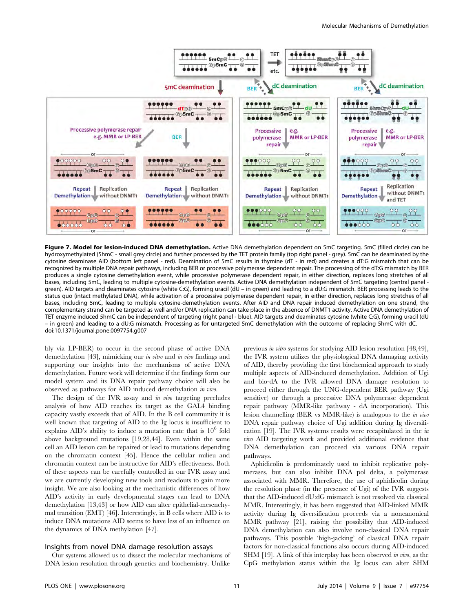

Figure 7. Model for lesion-induced DNA demethylation. Active DNA demethylation dependent on 5mC targeting. 5mC (filled circle) can be hydroxymethylated (5hmC - small grey circle) and further processed by the TET protein family (top right panel - grey). 5mC can be deaminated by the cytosine deaminase AID (bottom left panel - red). Deamination of 5mC results in thymine (dT - in red) and creates a dT:G mismatch that can be recognized by multiple DNA repair pathways, including BER or processive polymerase dependent repair. The processing of the dT:G mismatch by BER produces a single cytosine demethylation event, while processive polymerase dependent repair, in either direction, replaces long stretches of all bases, including 5mC, leading to multiple cytosine-demethylation events. Active DNA demethylation independent of 5mC targeting (central panel green). AID targets and deaminates cytosine (white C:G), forming uracil (dU – in green) and leading to a dU:G mismatch. BER processing leads to the status quo (intact methylated DNA), while activation of a processive polymerase dependent repair, in either direction, replaces long stretches of all bases, including 5mC, leading to multiple cytosine-demethylation events. After AID and DNA repair induced demethylation on one strand, the complementary strand can be targeted as well and/or DNA replication can take place in the absence of DNMT1 activity. Active DNA demethylation of TET enzyme induced 5hmC can be independent of targeting (right panel - blue). AID targets and deaminates cytosine (white C:G), forming uracil (dU – in green) and leading to a dU:G mismatch. Processing as for untargeted 5mC demethylation with the outcome of replacing 5hmC with dC. doi:10.1371/journal.pone.0097754.g007

bly via LP-BER) to occur in the second phase of active DNA demethylation [43], mimicking our in vitro and in vivo findings and supporting our insights into the mechanisms of active DNA demethylation. Future work will determine if the findings form our model system and its DNA repair pathway choice will also be observed as pathways for AID induced demethylation in vivo.

The design of the IVR assay and in vivo targeting precludes analysis of how AID reaches its target as the GAL4 binding capacity vastly exceeds that of AID. In the B cell community it is well known that targeting of AID to the Ig locus is insufficient to explains AID's ability to induce a mutation rate that is  $10^6$  fold above background mutations [19,28,44]. Even within the same cell an AID lesion can be repaired or lead to mutations depending on the chromatin context [45]. Hence the cellular milieu and chromatin context can be instructive for AID's effectiveness. Both of these aspects can be carefully controlled in our IVR assay and we are currently developing new tools and readouts to gain more insight. We are also looking at the mechanistic differences of how AID's activity in early developmental stages can lead to DNA demethylation [13,43] or how AID can alter epithelial-mesenchymal transition (EMT) [46]. Interestingly, in B cells where AID is to induce DNA mutations AID seems to have less of an influence on the dynamics of DNA methylation [47].

## Insights from novel DNA damage resolution assays

Our systems allowed us to dissect the molecular mechanisms of DNA lesion resolution through genetics and biochemistry. Unlike

previous in vitro systems for studying AID lesion resolution [48,49], the IVR system utilizes the physiological DNA damaging activity of AID, thereby providing the first biochemical approach to study multiple aspects of AID-induced demethylation. Addition of Ugi and bio-dA to the IVR allowed DNA damage resolution to proceed either through the UNG-dependent BER pathway (Ugi sensitive) or through a processive DNA polymerase dependent repair pathway (MMR-like pathway - dA incorporation). This lesion channelling (BER vs MMR-like) is analogous to the in vivo DNA repair pathway choice of Ugi addition during Ig diversification [19]. The IVR systems results were recapitulated in the in vivo AID targeting work and provided additional evidence that DNA demethylation can proceed via various DNA repair pathways.

Aphidicolin is predominately used to inhibit replicative polymerases, but can also inhibit DNA pol delta, a polymerase associated with MMR. Therefore, the use of aphidicolin during the resolution phase (in the presence of Ugi) of the IVR suggests that the AID-induced dU:dG mismatch is not resolved via classical MMR. Interestingly, it has been suggested that AID-linked MMR activity during Ig diversification proceeds via a noncanonical MMR pathway [21], raising the possibility that AID-induced DNA demethylation can also involve non-classical DNA repair pathways. This possible 'high-jacking' of classical DNA repair factors for non-classical functions also occurs during AID-induced SHM [19]. A link of this interplay has been observed in vivo, as the CpG methylation status within the Ig locus can alter SHM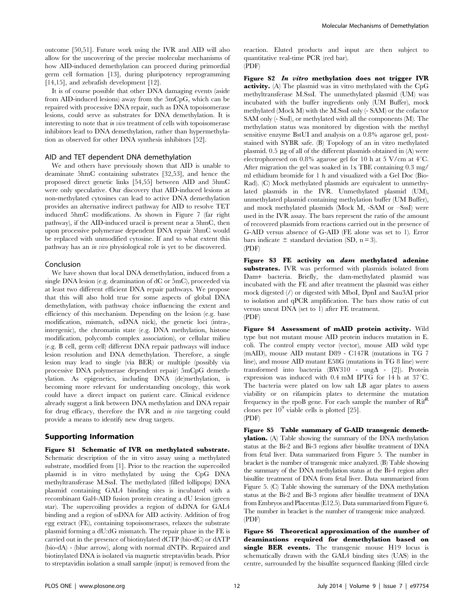outcome [50,51]. Future work using the IVR and AID will also allow for the uncovering of the precise molecular mechanisms of how AID-induced demethylation can proceed during primordial germ cell formation [13], during pluripotency reprogramming [14,15], and zebrafish development [12].

It is of course possible that other DNA damaging events (aside from AID-induced lesions) away from the 5mCpG, which can be repaired with processive DNA repair, such as DNA topoisomerase lesions, could serve as substrates for DNA demethylation. It is interesting to note that *in vivo* treatment of cells with topoisomerase inhibitors lead to DNA demethylation, rather than hypermethylation as observed for other DNA synthesis inhibitors [52].

## AID and TET dependent DNA demethylation

We and others have previously shown that AID is unable to deaminate 5hmC containing substrates [32,53], and hence the proposed direct genetic links [54,55] between AID and 5hmC were only speculative. Our discovery that AID-induced lesions at non-methylated cytosines can lead to active DNA demethylation provides an alternative indirect pathway for AID to resolve TET induced 5hmC modifications. As shown in Figure 7 (far right pathway), if the AID-induced uracil is present near a 5hmC, then upon processive polymerase dependent DNA repair 5hmC would be replaced with unmodified cytosine. If and to what extent this pathway has an in vivo physiological role is yet to be discovered.

## Conclusion

We have shown that local DNA demethylation, induced from a single DNA lesion (e.g. deamination of dC or 5mC), proceeded via at least two different efficient DNA repair pathways. We propose that this will also hold true for some aspects of global DNA demethylation, with pathway choice influencing the extent and efficiency of this mechanism. Depending on the lesion (e.g. base modification, mismatch, ssDNA nick), the genetic loci (intra-, intergenic), the chromatin state (e.g. DNA methylation, histone modification, polycomb complex association), or cellular milieu (e.g. B cell, germ cell) different DNA repair pathways will induce lesion resolution and DNA demethylation. Therefore, a single lesion may lead to single (via BER) or multiple (possibly via processive DNA polymerase dependent repair) 5mCpG demethylation. As epigenetics, including DNA (de)methylation, is becoming more relevant for understanding oncology, this work could have a direct impact on patient care. Clinical evidence already suggest a link between DNA methylation and DNA repair for drug efficacy, therefore the IVR and in vivo targeting could provide a means to identify new drug targets.

## Supporting Information

Figure S1 Schematic of IVR on methylated substrate. Schematic description of the in vitro assay using a methylated substrate, modified from [1]. Prior to the reaction the supercoiled plasmid is in vitro methylated by using the CpG DNA methyltransferase M.SssI. The methylated (filled lollipops) DNA plasmid containing GAL4 binding sites is incubated with a recombinant Gal4-AID fusion protein creating a dU lesion (green star). The supercoiling provides a region of dsDNA for GAL4 binding and a region of ssDNA for AID activity. Addition of frog egg extract (FE), containing topoisomerases, relaxes the substrate plasmid forming a dU:dG mismatch. The repair phase in the FE is carried out in the presence of biotinylated dCTP (bio-dC) or dATP (bio-dA) - (blue arrow), along with normal dNTPs. Repaired and biotinylated DNA is isolated via magnetic streptavidin beads. Prior to streptavidin isolation a small sample (input) is removed from the

reaction. Eluted products and input are then subject to quantitative real-time PCR (red bar). (PDF)

Figure S2 In vitro methylation does not trigger IVR activity. (A) The plasmid was in vitro methylated with the CpG methyltransferase M.SssI. The unmethylated plasmid (UM) was incubated with the buffer ingredients only (UM Buffer), mock methylated (Mock M) with the M.SssI only (- SAM) or the cofactor SAM only (- SssI), or methylated with all the components (M). The methylation status was monitored by digestion with the methyl sensitive enzyme BstUI and analysis on a 0.8% agarose gel, poststained with SYBR safe. (B) Topology of an in vitro methylated plasmid.  $0.5 \mu$ g of all of the different plasmids obtained in  $(A)$  were electrophoresed on 0.8% agarose gel for 10 h at 5 V/cm at  $4^{\circ}$ C. After migration the gel was soaked in 1x TBE containing 0.3 mg/ ml ethidium bromide for 1 h and visualized with a Gel Doc (Bio-Rad). (C) Mock methylated plasmids are equivalent to unmethylated plasmids in the IVR. Unmethylated plasmid (UM), unmethylated plasmid containing methylation buffer (UM Buffer), and mock methylated plasmids (Mock M, -SAM or –SssI) were used in the IVR assay. The bars represent the ratio of the amount of recovered plasmids from reactions carried out in the presence of G-AID versus absence of G-AID (FE alone was set to 1). Error bars indicate  $\pm$  standard deviation (SD, n = 3). (PDF)

Figure S3 FE activity on dam methylated adenine substrates. IVR was performed with plasmids isolated from Dam+ bacteria. Briefly, the dam-methylated plasmid was incubated with the FE and after treatment the plasmid was either mock digested (/) or digested with MboI, DpnI and Sau3AI prior to isolation and qPCR amplification. The bars show ratio of cut versus uncut DNA (set to 1) after FE treatment. (PDF)

Figure S4 Assessment of mAID protein activity. Wild type but not mutant mouse AID protein induces mutation in E. coli. The control empty vector (vector), mouse AID wild type (mAID), mouse AID mutant D89 - C147R (mutations in TG 7 line), and mouse AID mutant E58G (mutations in TG 8 line) were transformed into bacteria (BW310 - ung $\Delta$  - [2]). Protein expression was induced with  $0.4 \text{ mM IPTG}$  for  $14 \text{ h}$  at  $37^{\circ}\text{C}$ . The bacteria were plated on low salt LB agar plates to assess viability or on rifampicin plates to determine the mutation frequency in the rpoB gene. For each sample the number of  $\text{Rif}^R$ clones per  $10^9$  viable cells is plotted [25]. (PDF)

Figure S5 Table summary of G-AID transgenic demethylation. (A) Table showing the summary of the DNA methylation status at the Bi-2 and Bi-3 regions after bisulfite treatment of DNA from fetal liver. Data summarized from Figure 5. The number in bracket is the number of transgenic mice analyzed. (B) Table showing the summary of the DNA methylation status at the Bi-4 region after bisulfite treatment of DNA from fetal liver. Data summarized from Figure 5. (C) Table showing the summary of the DNA methylation status at the Bi-2 and Bi-3 regions after bisulfite treatment of DNA from Embryos and Placentas (E12.5). Data summarized from Figure 6. The number in bracket is the number of transgenic mice analyzed. (PDF)

Figure S6 Theoretical approximation of the number of deaminations required for demethylation based on single BER events. The transgenic mouse H19 locus is schematically drawn with the GAL4 binding sites (UAS) in the centre, surrounded by the bisulfite sequenced flanking (filled circle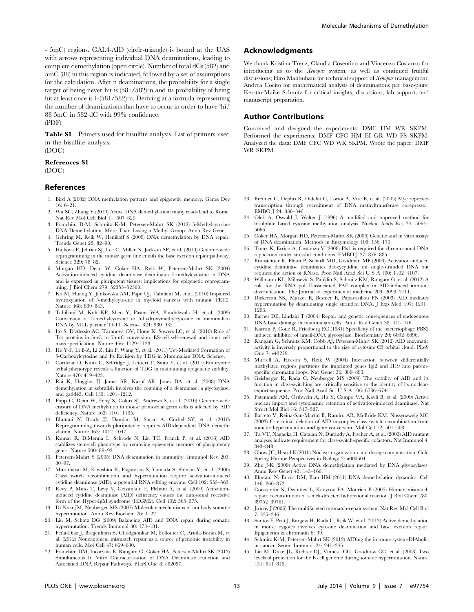- 5mC) regions. GAL4-AID (circle-triangle) is bound at the UAS with arrows representing individual DNA deaminations, leading to complete demethylation (open circle). Number of total dCs (582) and 5mC (88) in this region is indicated, followed by a set of assumptions for the calculation. After n deaminations, the probability for a single target of being never hit is (581/582)'n and its probability of being hit at least once is  $1-(581/582)^n$ . Deriving at a formula representing the number of deaminations that have to occur in order to have 'hit' 88 5mC in 582 dC with 99% confidence. (PDF)

Table S1 Primers used for bisulfite analysis. List of primers used in the bisulfite analysis. (DOC)

#### References S1

(DOC)

#### References

- 1. Bird A (2002) DNA methylation patterns and epigenetic memory. Genes Dev 16: 6–21.
- 2. Wu SC, Zhang Y (2010) Active DNA demethylation: many roads lead to Rome. Nat Rev Mol Cell Biol 11: 607–620.
- 3. Franchini D-M, Schmitz K-M, Petersen-Mahrt SK (2012) 5-Methylcytosine DNA Demethylation: More Than Losing a Methyl Group. Annu Rev Genet.
- 4. Gehring M, Reik W, Henikoff S (2009) DNA demethylation by DNA repair. Trends Genet 25: 82–90.
- 5. Hajkova P, Jeffries SJ, Lee C, Miller N, Jackson SP, et al. (2010) Genome-wide reprogramming in the mouse germ line entails the base excision repair pathway. Science 329: 78–82.
- 6. Morgan HD, Dean W, Coker HA, Reik W, Petersen-Mahrt SK (2004) Activation-induced cytidine deaminase deaminates 5-methylcytosine in DNA and is expressed in pluripotent tissues: implications for epigenetic reprogramming. J Biol Chem 279: 52353–52360.
- 7. Ko M, Huang Y, Jankowska AM, Pape UJ, Tahiliani M, et al. (2010) Impaired hydroxylation of 5-methylcytosine in myeloid cancers with mutant TET2. Nature 468: 839–843.
- 8. Tahiliani M, Koh KP, Shen Y, Pastor WA, Bandukwala H, et al. (2009) Conversion of 5-methylcytosine to 5-hydroxymethylcytosine in mammalian DNA by MLL partner TET1. Science 324: 930–935.
- 9. Ito S, D'Alessio AC, Taranova OV, Hong K, Sowers LC, et al. (2010) Role of Tet proteins in 5mC to 5hmC conversion, ES-cell self-renewal and inner cell mass specification. Nature 466: 1129–1133.
- 10. He Y-F, Li B-Z, Li Z, Liu P, Wang Y, et al. (2011) Tet-Mediated Formation of 5-Carboxylcytosine and Its Excision by TDG in Mammalian DNA. Science.
- 11. Corta´zar D, Kunz C, Selfridge J, Lettieri T, Saito Y, et al. (2011) Embryonic lethal phenotype reveals a function of TDG in maintaining epigenetic stability. Nature 470: 419–423.
- 12. Rai K, Huggins IJ, James SR, Karpf AR, Jones DA, et al. (2008) DNA demethylation in zebrafish involves the coupling of a deaminase, a glycosylase, and gadd45. Cell 135: 1201–1212.
- 13. Popp C, Dean W, Feng S, Cokus SJ, Andrews S, et al. (2010) Genome-wide erasure of DNA methylation in mouse primordial germ cells is affected by AID deficiency. Nature 463: 1101–1105.
- 14. Bhutani N, Brady JJ, Damian M, Sacco A, Corbel SY, et al. (2010) Reprogramming towards pluripotency requires AID-dependent DNA demethylation. Nature 463: 1042–1047.
- 15. Kumar R, DiMenna L, Schrode N, Liu TC, Franck P, et al. (2013) AID stabilizes stem-cell phenotype by removing epigenetic memory of pluripotency genes. Nature 500: 89–92.
- 16. Petersen-Mahrt S (2005) DNA deamination in immunity. Immunol Rev 203: 80–97.
- 17. Muramatsu M, Kinoshita K, Fagarasan S, Yamada S, Shinkai Y, et al. (2000) Class switch recombination and hypermutation require activation-induced cytidine deaminase (AID), a potential RNA editing enzyme. Cell 102: 553–563.
- 18. Revy P, Muto T, Levy Y, Geissmann F, Plebani A, et al. (2000) Activationinduced cytidine deaminase (AID) deficiency causes the autosomal recessive form of the Hyper-IgM syndrome (HIGM2). Cell 102: 565–575.
- 19. Di Noia JM, Neuberger MS (2007) Molecular mechanisms of antibody somatic hypermutation. Annu Rev Biochem 76: 1–22.
- 20. Liu M, Schatz DG (2009) Balancing AID and DNA repair during somatic hypermutation. Trends Immunol 30: 173–181.
- 21. Peña-Diaz J, Bregenhorn S, Ghodgaonkar M, Follonier C, Artola-Borán M, et al. (2012) Noncanonical mismatch repair as a source of genomic instability in human cells. Mol Cell 47: 669–680.

Associated DNA Repair Pathways. PLoS One 8: e82097.

We thank Kristina Trenz, Claudia Cosentino and Vincenzo Costanzo for introducing us to the Xenopus system, as well as continued fruitful discussions; Hiro Mahbubani for technical support of Xenopus management; Andrea Cocito for mathematical analysis of deaminations per base-pairs; Kerstin-Maike Schmitz for critical insights, discussions, lab support, and manuscript preparation.

## Author Contributions

Acknowledgments

Conceived and designed the experiments: DMF HM WR SKPM. Performed the experiments: DMF CFC HM EI GR WD FS SKPM. Analyzed the data: DMF CFC WD WR SKPM. Wrote the paper: DMF WR SKPM.

- 23. Brenner C, Deplus R, Didelot C, Loriot A, Vire E, et al. (2005) Myc represses transcription through recruitment of DNA methyltransferase corepressor. EMBO J 24: 336–346.
- 24. Olek A, Oswald J, Walter J (1996) A modified and improved method for bisulphite based cytosine methylation analysis. Nucleic Acids Res 24: 5064– 5066.
- 25. Coker HA, Morgan HD, Petersen-Mahrt SK (2006) Genetic and in vitro assays of DNA deamination. Methods in Enzymology 408: 156–170.
- 26. Trenz K, Errico A, Costanzo V (2008) Plx1 is required for chromosomal DNA replication under stressful conditions. EMBO J 27: 876–885.
- 27. Bransteitter R, Pham P, Scharff MD, Goodman MF (2003) Activation-induced cytidine deaminase deaminates deoxycytidine on single-stranded DNA but requires the action of RNase. Proc Natl Acad Sci U S A 100: 4102–4107.
- 28. Willmann KL, Milosevic S, Pauklin S, Schmitz KM, Rangam G, et al. (2012) A role for the RNA pol II-associated PAF complex in AID-induced immune diversification. The Journal of experimental medicine 209: 2099–2111.
- 29. Dickerson SK, Market E, Besmer E, Papavasiliou FN (2003) AID mediates hypermutation by deaminating single stranded DNA. J Exp Med 197: 1291– 1296.
- 30. Barnes DE, Lindahl T (2004) Repair and genetic consequences of endogenous DNA base damage in mammalian cells. Annu Rev Genet 38: 445–476.
- 31. Karran P, Cone R, Friedberg EC (1981) Specificity of the bacteriophage PBS2 induced inhibitor of uracil-DNA glycosylase. Biochemistry 20: 6092–6096.
- 32. Rangam G, Schmitz KM, Cobb AJ, Petersen-Mahrt SK (2012) AID enzymatic activity is inversely proportional to the size of cytosine C5 orbital cloud. PLoS One 7: e43279.
- 33. Murrell A, Heeson S, Reik W (2004) Interaction between differentially methylated regions partitions the imprinted genes Igf2 and H19 into parentspecific chromatin loops. Nat Genet 36: 889–893.
- 34. Geisberger R, Rada C, Neuberger MS (2009) The stability of AID and its function in class-switching are critically sensitive to the identity of its nuclearexport sequence. Proc Natl Acad Sci U S A 106: 6736–6741.
- 35. Patenaude AM, Orthwein A, Hu Y, Campo VA, Kavli B, et al. (2009) Active nuclear import and cytoplasmic retention of activation-induced deaminase. Nat Struct Mol Biol 16: 517–527.
- 36. Barreto V, Reina-San-Martin B, Ramiro AR, McBride KM, Nussenzweig MC (2003) C-terminal deletion of AID uncouples class switch recombination from somatic hypermutation and gene conversion. Mol Cell 12: 501–508.
- 37. Ta VT, Nagaoka H, Catalan N, Durandy A, Fischer A, et al. (2003) AID mutant analyses indicate requirement for class-switch-specific cofactors. Nat Immunol 4: 843–848.
- 38. Chow JC, Heard E (2010) Nuclear organization and dosage compensation. Cold Spring Harbor Perspectives in Biology 2: a000604.
- 39. Zhu J-K (2009) Active DNA demethylation mediated by DNA glycosylases. Annu Rev Genet 43: 143–166.
- 40. Bhutani N, Burns DM, Blau HM (2011) DNA demethylation dynamics. Cell 146: 866–872.
- 41. Constantin N, Dzantiev L, Kadyrov FA, Modrich P (2005) Human mismatch repair: reconstitution of a nick-directed bidirectional reaction. J Biol Chem 280: 39752–39761.
- 42. Jiricny J (2006) The multifaceted mismatch-repair system. Nat Rev Mol Cell Biol 7: 335–346.
- 43. Santos F, Peat J, Burgess H, Rada C, Reik W, et al. (2013) Active demethylation in mouse zygotes involves cytosine deamination and base excision repair. Epigenetics & chromatin 6: 39.
- 44. Schmitz K-M, Petersen-Mahrt SK (2012) AIDing the immune system-DIAbolic in cancer. Semin Immunol 24: 241–245.
- 22. Franchini DM, Incorvaia E, Rangam G, Coker HA, Petersen-Mahrt SK (2013) Simultaneous In Vitro Characterisation of DNA Deaminase Function and 45. Liu M, Duke JL, Richter DJ, Vinuesa CG, Goodnow CC, et al. (2008) Two levels of protection for the B cell genome during somatic hypermutation. Nature 451: 841–845.